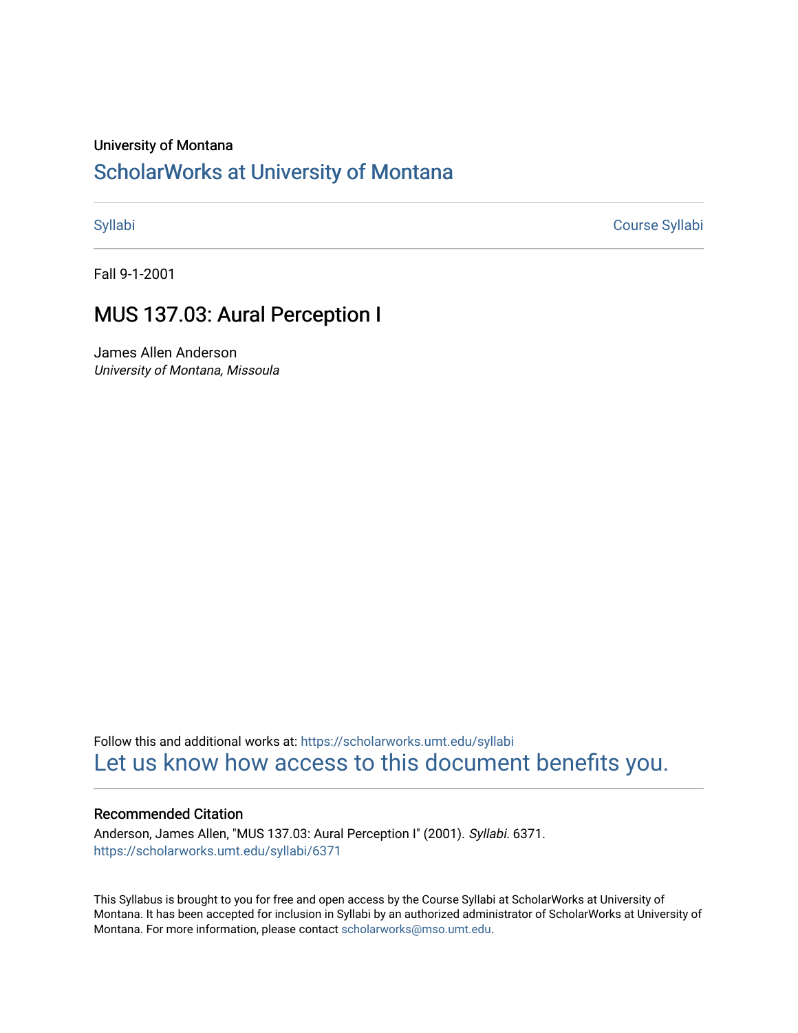#### University of Montana

# [ScholarWorks at University of Montana](https://scholarworks.umt.edu/)

[Syllabi](https://scholarworks.umt.edu/syllabi) [Course Syllabi](https://scholarworks.umt.edu/course_syllabi) 

Fall 9-1-2001

## MUS 137.03: Aural Perception I

James Allen Anderson University of Montana, Missoula

Follow this and additional works at: [https://scholarworks.umt.edu/syllabi](https://scholarworks.umt.edu/syllabi?utm_source=scholarworks.umt.edu%2Fsyllabi%2F6371&utm_medium=PDF&utm_campaign=PDFCoverPages)  [Let us know how access to this document benefits you.](https://goo.gl/forms/s2rGfXOLzz71qgsB2) 

#### Recommended Citation

Anderson, James Allen, "MUS 137.03: Aural Perception I" (2001). Syllabi. 6371. [https://scholarworks.umt.edu/syllabi/6371](https://scholarworks.umt.edu/syllabi/6371?utm_source=scholarworks.umt.edu%2Fsyllabi%2F6371&utm_medium=PDF&utm_campaign=PDFCoverPages)

This Syllabus is brought to you for free and open access by the Course Syllabi at ScholarWorks at University of Montana. It has been accepted for inclusion in Syllabi by an authorized administrator of ScholarWorks at University of Montana. For more information, please contact [scholarworks@mso.umt.edu.](mailto:scholarworks@mso.umt.edu)